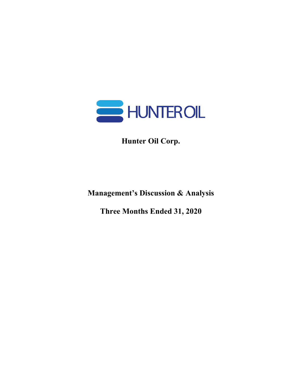

**Hunter Oil Corp.**

**Management's Discussion & Analysis**

**Three Months Ended 31, 2020**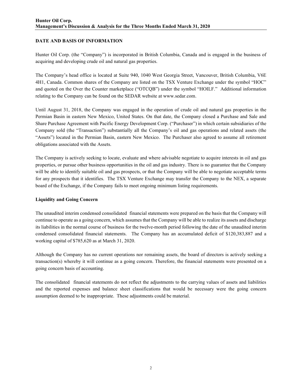# **DATE AND BASIS OF INFORMATION**

Hunter Oil Corp. (the "Company") is incorporated in British Columbia, Canada and is engaged in the business of acquiring and developing crude oil and natural gas properties.

The Company's head office is located at Suite 940, 1040 West Georgia Street, Vancouver, British Columbia, V6E 4H1, Canada. Common shares of the Company are listed on the TSX Venture Exchange under the symbol "HOC" and quoted on the Over the Counter marketplace ("OTCQB") under the symbol "HOILF." Additional information relating to the Company can be found on the SEDAR website at www.sedar.com.

Until August 31, 2018, the Company was engaged in the operation of crude oil and natural gas properties in the Permian Basin in eastern New Mexico, United States. On that date, the Company closed a Purchase and Sale and Share Purchase Agreement with Pacific Energy Development Corp. ("Purchaser") in which certain subsidiaries of the Company sold (the "Transaction") substantially all the Company's oil and gas operations and related assets (the "Assets") located in the Permian Basin, eastern New Mexico. The Purchaser also agreed to assume all retirement obligations associated with the Assets.

The Company is actively seeking to locate, evaluate and where advisable negotiate to acquire interests in oil and gas properties, or pursue other business opportunities in the oil and gas industry. There is no guarantee that the Company will be able to identify suitable oil and gas prospects, or that the Company will be able to negotiate acceptable terms for any prospects that it identifies. The TSX Venture Exchange may transfer the Company to the NEX, a separate board of the Exchange, if the Company fails to meet ongoing minimum listing requirements.

#### **Liquidity and Going Concern**

The unaudited interim condensed consolidated financial statements were prepared on the basis that the Company will continue to operate as a going concern, which assumes that the Company will be able to realize its assets and discharge its liabilities in the normal course of business for the twelve-month period following the date of the unaudited interim condensed consolidated financial statements. The Company has an accumulated deficit of \$120,383,887 and a working capital of \$785,620 as at March 31, 2020.

Although the Company has no current operations nor remaining assets, the board of directors is actively seeking a transaction(s) whereby it will continue as a going concern. Therefore, the financial statements were presented on a going concern basis of accounting.

The consolidated financial statements do not reflect the adjustments to the carrying values of assets and liabilities and the reported expenses and balance sheet classifications that would be necessary were the going concern assumption deemed to be inappropriate. These adjustments could be material.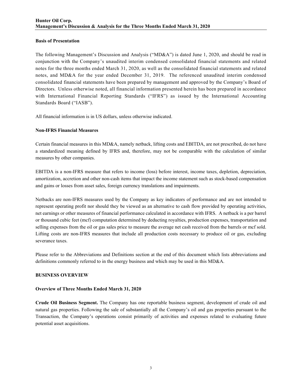#### **Basis of Presentation**

The following Management's Discussion and Analysis ("MD&A") is dated June 1, 2020, and should be read in conjunction with the Company's unaudited interim condensed consolidated financial statements and related notes for the three months ended March 31, 2020, as well as the consolidated financial statements and related notes, and MD&A for the year ended December 31, 2019. The referenced unaudited interim condensed consolidated financial statements have been prepared by management and approved by the Company's Board of Directors. Unless otherwise noted, all financial information presented herein has been prepared in accordance with International Financial Reporting Standards ("IFRS") as issued by the International Accounting Standards Board ("IASB").

All financial information is in US dollars, unless otherwise indicated.

# **Non-IFRS Financial Measures**

Certain financial measures in this MD&A, namely netback, lifting costs and EBITDA, are not prescribed, do not have a standardized meaning defined by IFRS and, therefore, may not be comparable with the calculation of similar measures by other companies.

EBITDA is a non-IFRS measure that refers to income (loss) before interest, income taxes, depletion, depreciation, amortization, accretion and other non-cash items that impact the income statement such as stock-based compensation and gains or losses from asset sales, foreign currency translations and impairments.

Netbacks are non-IFRS measures used by the Company as key indicators of performance and are not intended to represent operating profit nor should they be viewed as an alternative to cash flow provided by operating activities, net earnings or other measures of financial performance calculated in accordance with IFRS. A netback is a per barrel or thousand cubic feet (mcf) computation determined by deducting royalties, production expenses, transportation and selling expenses from the oil or gas sales price to measure the average net cash received from the barrels or mcf sold. Lifting costs are non-IFRS measures that include all production costs necessary to produce oil or gas, excluding severance taxes.

Please refer to the Abbreviations and Definitions section at the end of this document which lists abbreviations and definitions commonly referred to in the energy business and which may be used in this MD&A.

#### **BUSINESS OVERVIEW**

#### **Overview of Three Months Ended March 31, 2020**

**Crude Oil Business Segment.** The Company has one reportable business segment, development of crude oil and natural gas properties. Following the sale of substantially all the Company's oil and gas properties pursuant to the Transaction, the Company's operations consist primarily of activities and expenses related to evaluating future potential asset acquisitions.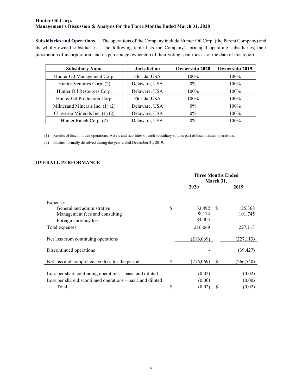**Subsidiaries and Operations.** The operations of the Company include Hunter Oil Corp. (the Parent Company) and its wholly-owned subsidiaries. The following table lists the Company's principal operating subsidiaries, their jurisdiction of incorporation, and its percentage ownership of their voting securities as of the date of this report:

| <b>Subsidiary Name</b>              | <b>Jurisdiction</b> | <b>Ownership 2020</b> | <b>Ownership 2019</b> |  |  |
|-------------------------------------|---------------------|-----------------------|-----------------------|--|--|
| Hunter Oil Management Corp.         | Florida, USA        | $100\%$               | 100%                  |  |  |
| Hunter Ventures Corp. (2)           | Delaware, USA       | $0\%$                 | 100%                  |  |  |
| Hunter Oil Resources Corp.          | Delaware, USA       | $100\%$               | 100%                  |  |  |
| Hunter Oil Production Corp.         | Florida, USA        | 100%                  | 100%                  |  |  |
| Milnesand Minerals Inc. $(1)$ $(2)$ | Delaware, USA       | $0\%$                 | 100%                  |  |  |
| Chaveroo Minerals Inc. (1) (2)      | Delaware, USA       | $0\%$                 | 100%                  |  |  |
| Hunter Ranch Corp. (2)              | Delaware, USA       | $0\%$                 | 100%                  |  |  |

(1) Results of discontinued operations. Assets and liabilities of each subsidiary sold as part of discontinued operations.

(2) Entities formally dissolved during the year ended December 31, 2019.

# **OVERALL PERFORMANCE**

|                                                                                                                        |    | <b>Three Months Ended</b> |              |                  |  |
|------------------------------------------------------------------------------------------------------------------------|----|---------------------------|--------------|------------------|--|
|                                                                                                                        |    | March 31,                 |              |                  |  |
|                                                                                                                        |    | 2020                      |              | 2019             |  |
| Expenses<br>General and administrative                                                                                 | S  | 33,492                    | <sup>S</sup> | 125,368          |  |
| Management fees and consulting                                                                                         |    | 98,174                    |              | 101,745          |  |
| Foreign currency loss                                                                                                  |    | 84,403                    |              |                  |  |
| Total expenses                                                                                                         |    | 216,069                   |              | 227,113          |  |
| Net loss from continuing operations                                                                                    |    | (216,069)                 |              | (227, 113)       |  |
| Discontinued operations                                                                                                |    |                           |              | (39, 427)        |  |
| Net loss and comprehensive loss for the period                                                                         | S  | (216,069)                 | S            | (266, 540)       |  |
| Loss per share continuing operations – basic and diluted<br>Loss per share discontinued operations – basic and diluted |    | (0.02)<br>(0.00)          |              | (0.02)<br>(0.00) |  |
| Total                                                                                                                  | \$ | (0.02)                    | S            | (0.02)           |  |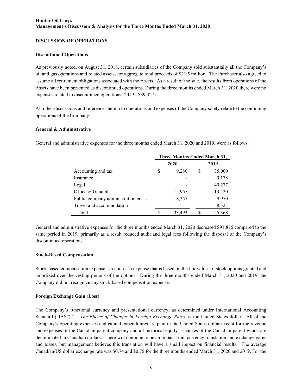#### **DISCUSSION OF OPERATIONS**

#### **Discontinued Operations**

As previously noted, on August 31, 2018, certain subsidiaries of the Company sold substantially all the Company's oil and gas operations and related assets, for aggregate total proceeds of \$21.5 million. The Purchaser also agreed to assume all retirement obligations associated with the Assets. As a result of the sale, the results from operations of the Assets have been presented as discontinued operations. During the three months ended March 31, 2020 there were no expenses related to discontinued operations (2019 - \$39,427).

All other discussions and references herein to operations and expenses of the Company solely relate to the continuing operations of the Company.

#### **General & Administrative**

General and administrative expenses for the three months ended March 31, 2020 and 2019, were as follows:

|                                     | Three Months Ended March 31, |        |      |         |  |
|-------------------------------------|------------------------------|--------|------|---------|--|
|                                     |                              | 2020   | 2019 |         |  |
| Accounting and tax                  | S                            | 9,280  | S    | 35,000  |  |
| Insurance                           |                              |        |      | 9,178   |  |
| Legal                               |                              |        |      | 49,277  |  |
| Office & General                    |                              | 15,955 |      | 13,420  |  |
| Public company administration costs |                              | 8,257  |      | 9,970   |  |
| Travel and accommodation            |                              |        |      | 8,523   |  |
| Total                               |                              | 33,492 |      | 125,368 |  |

General and administrative expenses for the three months ended March 31, 2020 decreased \$91,876 compared to the same period in 2019, primarily as a result reduced audit and legal fees following the disposal of the Company's discontinued operations.

#### **Stock-Based Compensation**

Stock-based compensation expense is a non-cash expense that is based on the fair values of stock options granted and amortized over the vesting periods of the options. During the three months ended March 31, 2020 and 2019, the Company did not recognize any stock-based compensation expense.

#### **Foreign Exchange Gain (Loss)**

The Company's functional currency and presentational currency, as determined under International Accounting Standard ("IAS") 21, *The Effects of Changes in Foreign Exchange Rates*, is the United States dollar. All of the Company's operating expenses and capital expenditures are paid in the United States dollar except for the revenue and expenses of the Canadian parent company and all historical equity issuances of the Canadian parent which are denominated in Canadian dollars. There will continue to be an impact from currency translation and exchange gains and losses, but management believes this translation will have a small impact on financial results. The average Canadian/US dollar exchange rate was \$0.74 and \$0.75 for the three months ended March 31, 2020 and 2019. For the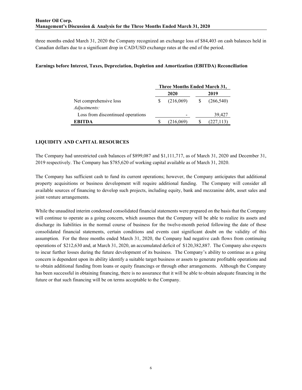three months ended March 31, 2020 the Company recognized an exchange loss of \$84,403 on cash balances held in Canadian dollars due to a significant drop in CAD/USD exchange rates at the end of the period.

### **Earnings before Interest, Taxes, Depreciation, Depletion and Amortization (EBITDA) Reconciliation**

|                                   | Three Months Ended March 31, |           |      |            |  |  |
|-----------------------------------|------------------------------|-----------|------|------------|--|--|
|                                   |                              | 2020      | 2019 |            |  |  |
| Net comprehensive loss            |                              | (216,069) |      | (266, 540) |  |  |
| Adjustments:                      |                              |           |      |            |  |  |
| Loss from discontinued operations |                              |           |      | 39.427     |  |  |
| <b>EBITDA</b>                     |                              | (216,069) |      | (227,113)  |  |  |

### **LIQUIDITY AND CAPITAL RESOURCES**

The Company had unrestricted cash balances of \$899,087 and \$1,111,717, as of March 31, 2020 and December 31, 2019 respectively. The Company has \$785,620 of working capital available as of March 31, 2020.

The Company has sufficient cash to fund its current operations; however, the Company anticipates that additional property acquisitions or business development will require additional funding. The Company will consider all available sources of financing to develop such projects, including equity, bank and mezzanine debt, asset sales and joint venture arrangements.

While the unaudited interim condensed consolidated financial statements were prepared on the basis that the Company will continue to operate as a going concern, which assumes that the Company will be able to realize its assets and discharge its liabilities in the normal course of business for the twelve-month period following the date of these consolidated financial statements, certain conditions and events cast significant doubt on the validity of this assumption. For the three months ended March 31, 2020, the Company had negative cash flows from continuing operations of \$212,630 and, at March 31, 2020, an accumulated deficit of \$120,382,887. The Company also expects to incur further losses during the future development of its business. The Company's ability to continue as a going concern is dependent upon its ability identify a suitable target business or assets to generate profitable operations and to obtain additional funding from loans or equity financings or through other arrangements. Although the Company has been successful in obtaining financing, there is no assurance that it will be able to obtain adequate financing in the future or that such financing will be on terms acceptable to the Company.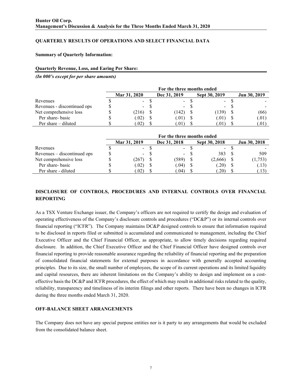# **QUARTERLY RESULTS OF OPERATIONS AND SELECT FINANCIAL DATA**

#### **Summary of Quarterly Information:**

#### **Quarterly Revenue, Loss, and Earing Per Share:**

*(In 000's except for per share amounts)*

|                             | For the three months ended |  |              |  |               |  |              |
|-----------------------------|----------------------------|--|--------------|--|---------------|--|--------------|
|                             | Mar 31, 2020               |  | Dec 31, 2019 |  | Sept 30, 2019 |  | Jun 30, 2019 |
| Revenues                    | $\blacksquare$             |  | $\sim$       |  | $\sim$        |  |              |
| Revenues - discontinued ops | $\blacksquare$             |  | ۰.           |  | $\sim$        |  |              |
| Net comprehensive loss      | (216)                      |  | (142)        |  | (139)         |  | (66)         |
| Per share- basic            | (0.02)                     |  | (.01)        |  | 0.01)         |  | (.01)        |
| Per share $-$ diluted       | .02)                       |  | .01)         |  | .01           |  | (.01)        |

|                             |              |     | For the three months ended |               |              |
|-----------------------------|--------------|-----|----------------------------|---------------|--------------|
|                             | Mar 31, 2019 |     | Dec 31, 2018               | Sept 30, 2018 | Jun 30, 2018 |
| Revenues                    |              | - 8 | $\sim 100$                 | $\sim 100$    |              |
| Revenues – discontinued ops |              | - 8 | $\sim$ 10 $\pm$            | 383           | 509          |
| Net comprehensive loss      | .267)        |     | (589)                      | (2,666)       | (1,753)      |
| Per share- basic            | (0.02)       |     | (.04)                      | (20)          | (.13)        |
| Per share - diluted         | .02)         |     | .04)                       | .20)          | (.13)        |

# **DISCLOSURE OF CONTROLS, PROCEDURES AND INTERNAL CONTROLS OVER FINANCIAL REPORTING**

As a TSX Venture Exchange issuer, the Company's officers are not required to certify the design and evaluation of operating effectiveness of the Company's disclosure controls and procedures ("DC&P") or its internal controls over financial reporting ("ICFR"). The Company maintains DC&P designed controls to ensure that information required to be disclosed in reports filed or submitted is accumulated and communicated to management, including the Chief Executive Officer and the Chief Financial Officer, as appropriate, to allow timely decisions regarding required disclosure. In addition, the Chief Executive Officer and the Chief Financial Officer have designed controls over financial reporting to provide reasonable assurance regarding the reliability of financial reporting and the preparation of consolidated financial statements for external purposes in accordance with generally accepted accounting principles. Due to its size, the small number of employees, the scope of its current operations and its limited liquidity and capital resources, there are inherent limitations on the Company's ability to design and implement on a costeffective basis the DC&P and ICFR procedures, the effect of which may result in additional risks related to the quality, reliability, transparency and timeliness of its interim filings and other reports. There have been no changes in ICFR during the three months ended March 31, 2020.

# **OFF-BALANCE SHEET ARRANGEMENTS**

The Company does not have any special purpose entities nor is it party to any arrangements that would be excluded from the consolidated balance sheet.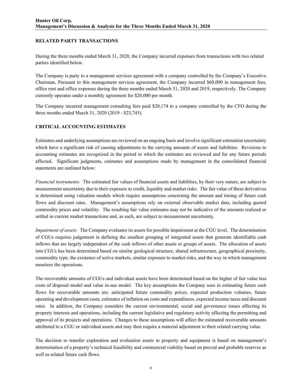### **RELATED PARTY TRANSACTIONS**

During the three months ended March 31, 2020, the Company incurred expenses from transactions with two related parties identified below.

The Company is party to a management services agreement with a company controlled by the Company's Executive Chairman. Pursuant to this management services agreement, the Company incurred \$60,000 in management fees, office rent and office expenses during the three months ended March 31, 2020 and 2019, respectively. The Company currently operates under a monthly agreement for \$20,000 per month.

The Company incurred management consulting fees paid \$20,174 to a company controlled by the CFO during the three months ended March 31, 2020 (2019 - \$23,745).

#### **CRITICAL ACCOUNTING ESTIMATES**

Estimates and underlying assumptions are reviewed on an ongoing basis and involve significant estimation uncertainty which have a significant risk of causing adjustments to the carrying amounts of assets and liabilities. Revisions to accounting estimates are recognized in the period in which the estimates are reviewed and for any future periods affected. Significant judgments, estimates and assumptions made by management in the consolidated financial statements are outlined below:

*Financial instruments:* The estimated fair values of financial assets and liabilities, by their very nature, are subject to measurement uncertainty due to their exposure to credit, liquidity and market risks. The fair value of these derivatives is determined using valuation models which require assumptions concerning the amount and timing of future cash flows and discount rates. Management's assumptions rely on external observable market data, including quoted commodity prices and volatility. The resulting fair value estimates may not be indicative of the amounts realized or settled in current market transactions and, as such, are subject to measurement uncertainty.

*Impairment of assets:* The Company evaluates its assets for possible impairment at the CGU level. The determination of CGUs requires judgement in defining the smallest grouping of integrated assets that generate identifiable cash inflows that are largely independent of the cash inflows of other assets or groups of assets. The allocation of assets into CGUs has been determined based on similar geological structure, shared infrastructure, geographical proximity, commodity type, the existence of active markets, similar exposure to market risks, and the way in which management monitors the operations.

The recoverable amounts of CGUs and individual assets have been determined based on the higher of fair value less costs of disposal model and value in-use model. The key assumptions the Company uses in estimating future cash flows for recoverable amounts are: anticipated future commodity prices, expected production volumes, future operating and development costs, estimates of inflation on costs and expenditures, expected income taxes and discount rates. In addition, the Company considers the current environmental, social and governance issues affecting its property interests and operations, including the current legislative and regulatory activity affecting the permitting and approval of its projects and operations. Changes to these assumptions will affect the estimated recoverable amounts attributed to a CGU or individual assets and may then require a material adjustment to their related carrying value.

The decision to transfer exploration and evaluation assets to property and equipment is based on management's determination of a property's technical feasibility and commercial viability based on proved and probable reserves as well as related future cash flows.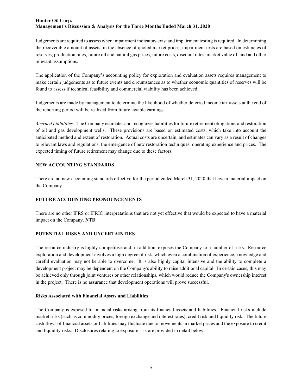Judgements are required to assess when impairment indicators exist and impairment testing is required. In determining the recoverable amount of assets, in the absence of quoted market prices, impairment tests are based on estimates of reserves, production rates, future oil and natural gas prices, future costs, discount rates, market value of land and other relevant assumptions.

The application of the Company's accounting policy for exploration and evaluation assets requires management to make certain judgements as to future events and circumstances as to whether economic quantities of reserves will be found to assess if technical feasibility and commercial viability has been achieved.

Judgements are made by management to determine the likelihood of whether deferred income tax assets at the end of the reporting period will be realized from future taxable earnings.

*Accrued Liabilities:* The Company estimates and recognizes liabilities for future retirement obligations and restoration of oil and gas development wells. These provisions are based on estimated costs, which take into account the anticipated method and extent of restoration. Actual costs are uncertain, and estimates can vary as a result of changes to relevant laws and regulations, the emergence of new restoration techniques, operating experience and prices. The expected timing of future retirement may change due to these factors.

#### **NEW ACCOUNTING STANDARDS**

There are no new accounting standards effective for the period ended March 31, 2020 that have a material impact on the Company.

# **FUTURE ACCOUNTING PRONOUNCEMENTS**

There are no other IFRS or IFRIC interpretations that are not yet effective that would be expected to have a material impact on the Company. **NTD**

# **POTENTIAL RISKS AND UNCERTAINTIES**

The resource industry is highly competitive and, in addition, exposes the Company to a number of risks. Resource exploration and development involves a high degree of risk, which even a combination of experience, knowledge and careful evaluation may not be able to overcome. It is also highly capital intensive and the ability to complete a development project may be dependent on the Company's ability to raise additional capital. In certain cases, this may be achieved only through joint ventures or other relationships, which would reduce the Company's ownership interest in the project. There is no assurance that development operations will prove successful.

#### **Risks Associated with Financial Assets and Liabilities**

The Company is exposed to financial risks arising from its financial assets and liabilities. Financial risks include market risks (such as commodity prices, foreign exchange and interest rates), credit risk and liquidity risk. The future cash flows of financial assets or liabilities may fluctuate due to movements in market prices and the exposure to credit and liquidity risks. Disclosures relating to exposure risk are provided in detail below.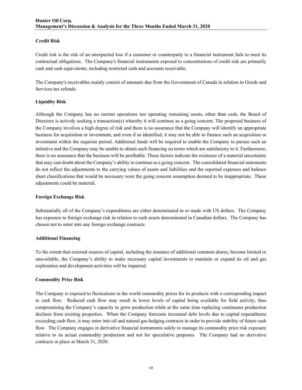### **Credit Risk**

Credit risk is the risk of an unexpected loss if a customer or counterparty to a financial instrument fails to meet its contractual obligations. The Company's financial instruments exposed to concentrations of credit risk are primarily cash and cash equivalents, including restricted cash and accounts receivable.

The Company's receivables mainly consist of amounts due from the Government of Canada in relation to Goods and Services tax refunds.

### **Liquidity Risk**

Although the Company has no current operations nor operating remaining assets, other than cash, the Board of Directors is actively seeking a transaction(s) whereby it will continue as a going concern. The proposed business of the Company involves a high degree of risk and there is no assurance that the Company will identify an appropriate business for acquisition or investment, and even if so identified, it may not be able to finance such an acquisition or investment within the requisite period. Additional funds will be required to enable the Company to pursue such an initiative and the Company may be unable to obtain such financing on terms which are satisfactory to it. Furthermore, there is no assurance that the business will be profitable. These factors indicate the existence of a material uncertainty that may cast doubt about the Company's ability to continue as a going concern. The consolidated financial statements do not reflect the adjustments to the carrying values of assets and liabilities and the reported expenses and balance sheet classifications that would be necessary were the going concern assumption deemed to be inappropriate. These adjustments could be material.

#### **Foreign Exchange Risk**

Substantially all of the Company's expenditures are either denominated in or made with US dollars. The Company has exposure to foreign exchange risk in relation to cash assets denominated in Canadian dollars. The Company has chosen not to enter into any foreign exchange contracts.

#### **Additional Financing**

To the extent that external sources of capital, including the issuance of additional common shares, become limited or unavailable, the Company's ability to make necessary capital investments to maintain or expand its oil and gas exploration and development activities will be impaired.

#### **Commodity Price Risk**

The Company is exposed to fluctuations in the world commodity prices for its products with a corresponding impact to cash flow. Reduced cash flow may result in lower levels of capital being available for field activity, thus compromising the Company's capacity to grow production while at the same time replacing continuous production declines from existing properties. When the Company forecasts increased debt levels due to capital expenditures exceeding cash flow, it may enter into oil and natural gas hedging contracts in order to provide stability of future cash flow. The Company engages in derivative financial instruments solely to manage its commodity price risk exposure relative to its actual commodity production and not for speculative purposes. The Company had no derivative contracts in place at March 31, 2020.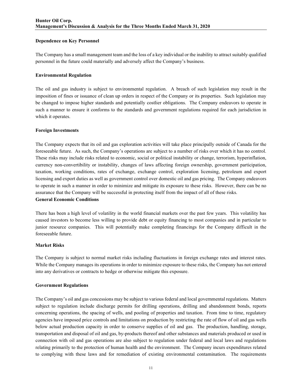#### **Dependence on Key Personnel**

The Company has a small management team and the loss of a key individual or the inability to attract suitably qualified personnel in the future could materially and adversely affect the Company's business.

#### **Environmental Regulation**

The oil and gas industry is subject to environmental regulation. A breach of such legislation may result in the imposition of fines or issuance of clean up orders in respect of the Company or its properties. Such legislation may be changed to impose higher standards and potentially costlier obligations. The Company endeavors to operate in such a manner to ensure it conforms to the standards and government regulations required for each jurisdiction in which it operates.

### **Foreign Investments**

The Company expects that its oil and gas exploration activities will take place principally outside of Canada for the foreseeable future. As such, the Company's operations are subject to a number of risks over which it has no control. These risks may include risks related to economic, social or political instability or change, terrorism, hyperinflation, currency non-convertibility or instability, changes of laws affecting foreign ownership, government participation, taxation, working conditions, rates of exchange, exchange control, exploration licensing, petroleum and export licensing and export duties as well as government control over domestic oil and gas pricing. The Company endeavors to operate in such a manner in order to minimize and mitigate its exposure to these risks. However, there can be no assurance that the Company will be successful in protecting itself from the impact of all of these risks. **General Economic Conditions** 

There has been a high level of volatility in the world financial markets over the past few years. This volatility has caused investors to become less willing to provide debt or equity financing to most companies and in particular to junior resource companies. This will potentially make completing financings for the Company difficult in the foreseeable future.

#### **Market Risks**

The Company is subject to normal market risks including fluctuations in foreign exchange rates and interest rates. While the Company manages its operations in order to minimize exposure to these risks, the Company has not entered into any derivatives or contracts to hedge or otherwise mitigate this exposure.

#### **Government Regulations**

The Company's oil and gas concessions may be subject to various federal and local governmental regulations. Matters subject to regulation include discharge permits for drilling operations, drilling and abandonment bonds, reports concerning operations, the spacing of wells, and pooling of properties and taxation. From time to time, regulatory agencies have imposed price controls and limitations on production by restricting the rate of flow of oil and gas wells below actual production capacity in order to conserve supplies of oil and gas. The production, handling, storage, transportation and disposal of oil and gas, by-products thereof and other substances and materials produced or used in connection with oil and gas operations are also subject to regulation under federal and local laws and regulations relating primarily to the protection of human health and the environment. The Company incurs expenditures related to complying with these laws and for remediation of existing environmental contamination. The requirements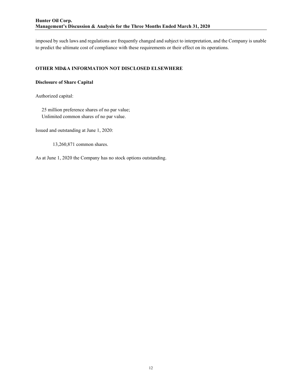imposed by such laws and regulations are frequently changed and subject to interpretation, and the Company is unable to predict the ultimate cost of compliance with these requirements or their effect on its operations.

#### **OTHER MD&A INFORMATION NOT DISCLOSED ELSEWHERE**

### **Disclosure of Share Capital**

Authorized capital:

 25 million preference shares of no par value; Unlimited common shares of no par value.

Issued and outstanding at June 1, 2020:

13,260,871 common shares.

As at June 1, 2020 the Company has no stock options outstanding.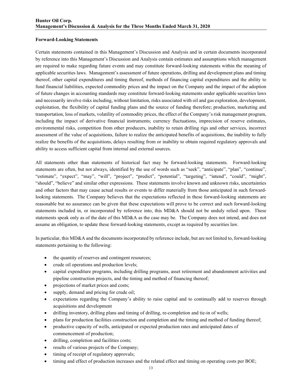#### **Forward-Looking Statements**

Certain statements contained in this Management's Discussion and Analysis and in certain documents incorporated by reference into this Management's Discussion and Analysis contain estimates and assumptions which management are required to make regarding future events and may constitute forward-looking statements within the meaning of applicable securities laws. Management's assessment of future operations, drilling and development plans and timing thereof, other capital expenditures and timing thereof, methods of financing capital expenditures and the ability to fund financial liabilities, expected commodity prices and the impact on the Company and the impact of the adoption of future changes in accounting standards may constitute forward-looking statements under applicable securities laws and necessarily involve risks including, without limitation, risks associated with oil and gas exploration, development, exploitation, the flexibility of capital funding plans and the source of funding therefore; production, marketing and transportation, loss of markets, volatility of commodity prices, the effect of the Company's risk management program, including the impact of derivative financial instruments; currency fluctuations, imprecision of reserve estimates, environmental risks, competition from other producers, inability to retain drilling rigs and other services, incorrect assessment of the value of acquisitions, failure to realize the anticipated benefits of acquisitions, the inability to fully realize the benefits of the acquisitions, delays resulting from or inability to obtain required regulatory approvals and ability to access sufficient capital from internal and external sources.

All statements other than statements of historical fact may be forward-looking statements. Forward-looking statements are often, but not always, identified by the use of words such as "seek", "anticipate", "plan", "continue", "estimate", "expect", "may", "will", "project", "predict", "potential", "targeting", "intend", "could", "might", "should", "believe" and similar other expressions. These statements involve known and unknown risks, uncertainties and other factors that may cause actual results or events to differ materially from those anticipated in such forwardlooking statements. The Company believes that the expectations reflected in these forward-looking statements are reasonable but no assurance can be given that these expectations will prove to be correct and such forward-looking statements included in, or incorporated by reference into, this MD&A should not be unduly relied upon. These statements speak only as of the date of this MD&A as the case may be. The Company does not intend, and does not assume an obligation, to update these forward-looking statements, except as required by securities law.

In particular, this MD&A and the documents incorporated by reference include, but are not limited to, forward-looking statements pertaining to the following:

- the quantity of reserves and contingent resources;
- crude oil operations and production levels;
- capital expenditure programs, including drilling programs, asset retirement and abandonment activities and pipeline construction projects, and the timing and method of financing thereof;
- projections of market prices and costs;
- supply, demand and pricing for crude oil;
- expectations regarding the Company's ability to raise capital and to continually add to reserves through acquisitions and development
- drilling inventory, drilling plans and timing of drilling, re-completion and tie-in of wells;
- plans for production facilities construction and completion and the timing and method of funding thereof;
- productive capacity of wells, anticipated or expected production rates and anticipated dates of commencement of production;
- drilling, completion and facilities costs;
- results of various projects of the Company;
- timing of receipt of regulatory approvals;
- timing and effect of production increases and the related effect and timing on operating costs per BOE;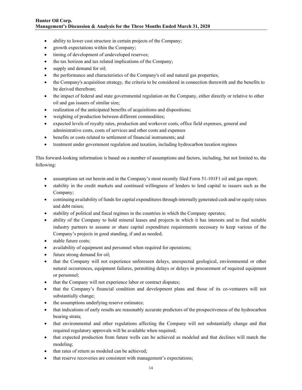- ability to lower cost structure in certain projects of the Company;
- growth expectations within the Company;
- timing of development of undeveloped reserves;
- the tax horizon and tax related implications of the Company;
- supply and demand for oil;
- the performance and characteristics of the Company's oil and natural gas properties;
- the Company's acquisition strategy, the criteria to be considered in connection therewith and the benefits to be derived therefrom;
- the impact of federal and state governmental regulation on the Company, either directly or relative to other oil and gas issuers of similar size;
- realization of the anticipated benefits of acquisitions and dispositions;
- weighting of production between different commodities;
- expected levels of royalty rates, production and workover costs, office field expenses, general and administrative costs, costs of services and other costs and expenses
- benefits or costs related to settlement of financial instruments; and
- treatment under government regulation and taxation, including hydrocarbon taxation regimes

This forward-looking information is based on a number of assumptions and factors, including, but not limited to, the following:

- assumptions set out herein and in the Company's most recently filed Form 51-101F1 oil and gas report;
- stability in the credit markets and continued willingness of lenders to lend capital to issuers such as the Company;
- continuing availability of funds for capital expenditures through internally generated cash and/or equity raises and debt raises;
- stability of political and fiscal regimes in the countries in which the Company operates;
- ability of the Company to hold mineral leases and projects in which it has interests and to find suitable industry partners to assume or share capital expenditure requirements necessary to keep various of the Company's projects in good standing, if and as needed;
- stable future costs;
- availability of equipment and personnel when required for operations;
- future strong demand for oil;
- that the Company will not experience unforeseen delays, unexpected geological, environmental or other natural occurrences, equipment failures, permitting delays or delays in procurement of required equipment or personnel;
- that the Company will not experience labor or contract disputes;
- that the Company's financial condition and development plans and those of its co-venturers will not substantially change;
- the assumptions underlying reserve estimates;
- that indications of early results are reasonably accurate predictors of the prospectiveness of the hydrocarbon bearing strata;
- that environmental and other regulations affecting the Company will not substantially change and that required regulatory approvals will be available when required;
- that expected production from future wells can be achieved as modeled and that declines will match the modeling;
- that rates of return as modeled can be achieved;
- that reserve recoveries are consistent with management's expectations;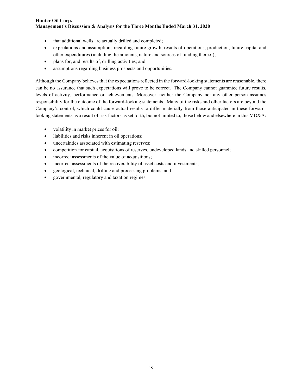- that additional wells are actually drilled and completed;
- expectations and assumptions regarding future growth, results of operations, production, future capital and other expenditures (including the amounts, nature and sources of funding thereof);
- plans for, and results of, drilling activities; and
- assumptions regarding business prospects and opportunities.

Although the Company believes that the expectations reflected in the forward-looking statements are reasonable, there can be no assurance that such expectations will prove to be correct. The Company cannot guarantee future results, levels of activity, performance or achievements. Moreover, neither the Company nor any other person assumes responsibility for the outcome of the forward-looking statements. Many of the risks and other factors are beyond the Company's control, which could cause actual results to differ materially from those anticipated in these forwardlooking statements as a result of risk factors as set forth, but not limited to, those below and elsewhere in this MD&A:

- volatility in market prices for oil;
- liabilities and risks inherent in oil operations;
- uncertainties associated with estimating reserves;
- competition for capital, acquisitions of reserves, undeveloped lands and skilled personnel;
- incorrect assessments of the value of acquisitions;
- incorrect assessments of the recoverability of asset costs and investments;
- geological, technical, drilling and processing problems; and
- governmental, regulatory and taxation regimes.